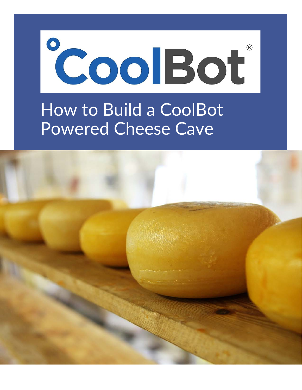

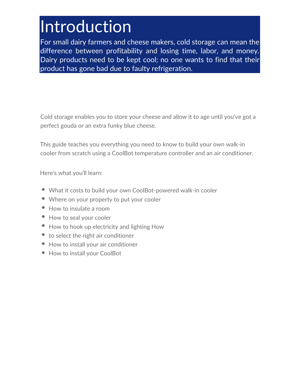# Introduction

For small dairy farmers and cheese makers, cold storage can mean the difference between profitability and losing time, labor, and money. Dairy products need to be kept cool; no one wants to find that their product has gone bad due to faulty refrigeration.

Cold storage enables you to store your cheese and allow it to age until you've got a perfect gouda or an extra funky blue cheese.

This guide teaches you everything you need to know to build your own walk-in cooler from scratch using a CoolBot temperature controller and an air conditioner.

Here's what you'll learn:

- What it costs to build your own CoolBot-powered walk-in cooler
- Where on your property to put your cooler
- How to insulate a room
- How to seal your cooler
- How to hook up electricity and lighting How
- to select the right air conditioner
- How to install your air conditioner
- How to install your CoolBot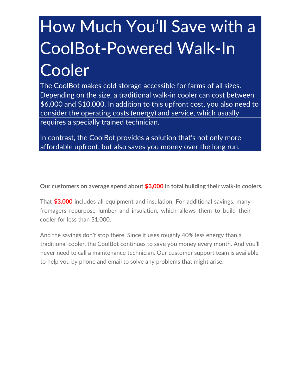# How Much You'll Save with a CoolBot-Powered Walk-In Cooler

The CoolBot makes cold storage accessible for farms of all sizes. Depending on the size, a traditional walk-in cooler can cost between \$6,000 and \$10,000. In addition to this upfront cost, you also need to consider the operating costs (energy) and service, which usually requires a specially trained technician.

In contrast, the CoolBot provides a solution that's not only more affordable upfront, but also saves you money over the long run.

**Our customers on average spend about \$3,000 in total building their walk-in coolers.**

That **\$3,000 i**ncludes all equipment and insulation. For additional savings, many fromagers repurpose lumber and insulation, which allows them to build their cooler for less than \$1,000.

And the savings don't stop there. Since it uses roughly 40% less energy than a traditional cooler, the CoolBot continues to save you money every month. And you'll never need to call a maintenance technician. Our customer support team is available to help you by phone and email to solve any problems that might arise.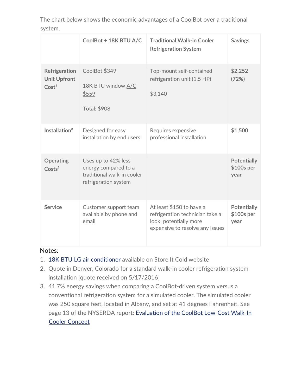| The chart below shows the economic advantages of a CoolBot over a traditional |  |  |  |  |
|-------------------------------------------------------------------------------|--|--|--|--|
| system.                                                                       |  |  |  |  |

|                                                           | CoolBot + 18K BTU A/C                                                                             | <b>Traditional Walk-in Cooler</b><br><b>Refrigeration System</b>                                                         | <b>Savings</b>                            |
|-----------------------------------------------------------|---------------------------------------------------------------------------------------------------|--------------------------------------------------------------------------------------------------------------------------|-------------------------------------------|
| Refrigeration<br><b>Unit Upfront</b><br>Cost <sup>1</sup> | CoolBot \$349<br>18K BTU window A/C<br>\$559<br><b>Total: \$908</b>                               | Top-mount self-contained<br>refrigeration unit (1.5 HP)<br>\$3,140                                                       | \$2,252<br>(72%)                          |
| Installation <sup>2</sup>                                 | Designed for easy<br>installation by end users                                                    | Requires expensive<br>professional installation                                                                          | \$1,500                                   |
| <b>Operating</b><br>Costs <sup>3</sup>                    | Uses up to 42% less<br>energy compared to a<br>traditional walk-in cooler<br>refrigeration system |                                                                                                                          | <b>Potentially</b><br>\$100s per<br>year  |
| <b>Service</b>                                            | Customer support team<br>available by phone and<br>email                                          | At least \$150 to have a<br>refrigeration technician take a<br>look; potentially more<br>expensive to resolve any issues | <b>Potentially</b><br>$$100s$ per<br>year |

#### Notes:

- 1. [18K BTU LG air conditioner](https://www.storeitcold.com/product/lg-18000-btu-115-volt-window-air-conditioner/) available on Store It Cold website
- 2. Quote in Denver, Colorado for a standard walk-in cooler refrigeration system installation [quote received on 5/17/2016]
- 3. 41.7% energy savings when comparing a CoolBot-driven system versus a conventional refrigeration system for a simulated cooler. The simulated cooler was 250 square feet, located in Albany, and set at 41 degrees Fahrenheit. See [page 13 of the NYSERDA report: Evaluation of the CoolBot Low-Cost Walk-In](https://4557657873f8e83b61b44d37-b4glreykpbcsnk.netdna-ssl.com/wp-content/uploads/2016/05/NYSERDA-CoolBot-Report-May-09.pdf) [Cooler Concept](https://4557657873f8e83b61b44d37-b4glreykpbcsnk.netdna-ssl.com/wp-content/uploads/2016/05/NYSERDA-CoolBot-Report-May-09.pdf)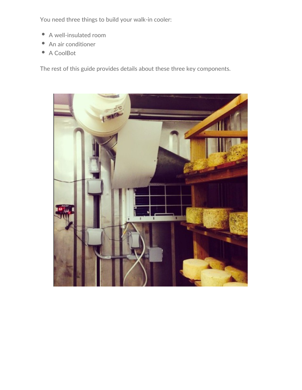You need three things to build your walk-in cooler:

- A well-insulated room  $\bullet$
- An air conditioner
- A CoolBot

The rest of this guide provides details about these three key components.

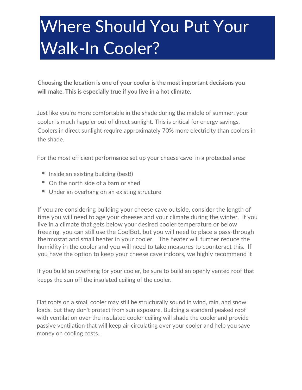# Where Should You Put Your Walk-In Cooler?

**Choosing the location is one of your cooler is the most important decisions you will make. This is especially true if you live in a hot climate.**

Just like you're more comfortable in the shade during the middle of summer, your cooler is much happier out of direct sunlight. This is critical for energy savings. Coolers in direct sunlight require approximately 70% more electricity than coolers in the shade.

For the most efficient performance set up your cheese cave in a protected area:

- $\bullet$  Inside an existing building (best!)
- On the north side of a barn or shed
- Under an overhang on an existing structure

If you are considering building your cheese cave outside, consider the length of time you will need to age your cheeses and your climate during the winter. If you live in a climate that gets below your desired cooler temperature or below freezing, you can still use the CoolBot, but you will need to place a pass-through thermostat and small heater in your cooler. The heater will further reduce the humidity in the cooler and you will need to take measures to counteract this. If you have the option to keep your cheese cave indoors, we highly recommend it

If you build an overhang for your cooler, be sure to build an openly vented roof that keeps the sun off the insulated ceiling of the cooler.

Flat roofs on a small cooler may still be structurally sound in wind, rain, and snow loads, but they don't protect from sun exposure. Building a standard peaked roof with ventilation over the insulated cooler ceiling will shade the cooler and provide passive ventilation that will keep air circulating over your cooler and help you save money on cooling costs..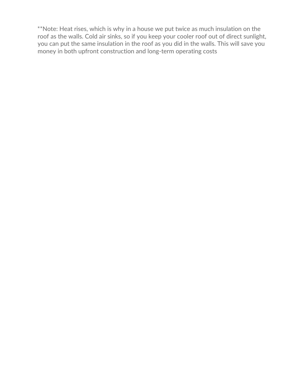\*\*Note: Heat rises, which is why in a house we put twice as much insulation on the roof as the walls. Cold air sinks, so if you keep your cooler roof out of direct sunlight, you can put the same insulation in the roof as you did in the walls. This will save you money in both upfront construction and long-term operating costs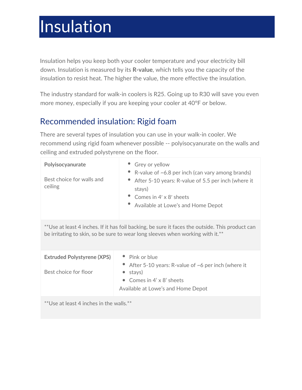# Insulation

Insulation helps you keep both your cooler temperature and your electricity bill down. Insulation is measured by its **R-value**, which tells you the capacity of the insulation to resist heat. The higher the value, the more effective the insulation.

The industry standard for walk-in coolers is R25. Going up to R30 will save you even more money, especially if you are keeping your cooler at 40°F or below.

## Recommended insulation: Rigid foam

There are several types of insulation you can use in your walk-in cooler. We recommend using rigid foam whenever possible -- polyisocyanurate on the walls and ceiling and extruded polystyrene on the floor.

| Polyisocyanurate<br>Best choice for walls and<br>ceiling                                                                                                                          | • Grey or yellow<br>• R-value of $\sim 6.8$ per inch (can vary among brands)<br>After 5-10 years: R-value of 5.5 per inch (where it<br>stays)<br>Comes in $4' \times 8'$ sheets<br>Available at Lowe's and Home Depot |  |  |  |
|-----------------------------------------------------------------------------------------------------------------------------------------------------------------------------------|-----------------------------------------------------------------------------------------------------------------------------------------------------------------------------------------------------------------------|--|--|--|
| **Use at least 4 inches. If it has foil backing, be sure it faces the outside. This product can<br>be irritating to skin, so be sure to wear long sleeves when working with it.** |                                                                                                                                                                                                                       |  |  |  |
| <b>Extruded Polystyrene (XPS)</b><br>Best choice for floor                                                                                                                        | • Pink or blue<br>After 5-10 years: R-value of $\sim$ 6 per inch (where it<br>stays)<br>• Comes in $4' \times 8'$ sheets<br>Available at Lowe's and Home Depot                                                        |  |  |  |
| $**$ l lea at least $\Lambda$ inches in the walls $**$                                                                                                                            |                                                                                                                                                                                                                       |  |  |  |

se at least 4 inches in the walls.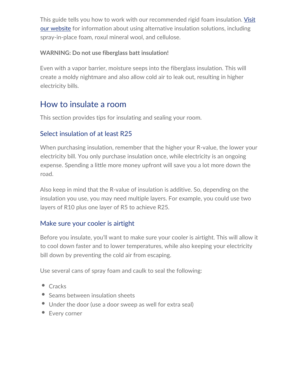This guide tells you how to work with our recommended rigid foam insulation. Visit [our website](https://www.storeitcold.com/build-it/insulation-selection-installation/) [for information about using alternative insulation solutions, including](https://www.storeitcold.com/build-it/insulation-selection-installation/)  spray-in-place foam, roxul mineral wool, and cellulose.

### **WARNING: Do not use fiberglass batt insulation!**

Even with a vapor barrier, moisture seeps into the fiberglass insulation. This will create a moldy nightmare and also allow cold air to leak out, resulting in higher electricity bills.

## How to insulate a room

This section provides tips for insulating and sealing your room.

### Select insulation of at least R25

When purchasing insulation, remember that the higher your R-value, the lower your electricity bill. You only purchase insulation once, while electricity is an ongoing expense. Spending a little more money upfront will save you a lot more down the road.

Also keep in mind that the R-value of insulation is additive. So, depending on the insulation you use, you may need multiple layers. For example, you could use two layers of R10 plus one layer of R5 to achieve R25.

### Make sure your cooler is airtight

Before you insulate, you'll want to make sure your cooler is airtight. This will allow it to cool down faster and to lower temperatures, while also keeping your electricity bill down by preventing the cold air from escaping.

Use several cans of spray foam and caulk to seal the following:

- Cracks
- Seams between insulation sheets
- Under the door (use a door sweep as well for extra seal)
- Every corner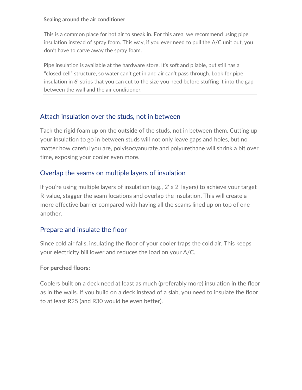#### **Sealing around the air conditioner**

This is a common place for hot air to sneak in. For this area, we recommend using pipe insulation instead of spray foam. This way, if you ever need to pull the A/C unit out, you don't have to carve away the spray foam.

Pipe insulation is available at the hardware store. It's soft and pliable, but still has a "closed cell" structure, so water can't get in and air can't pass through. Look for pipe insulation in 6' strips that you can cut to the size you need before stuffing it into the gap between the wall and the air conditioner.

### Attach insulation over the studs, not in between

Tack the rigid foam up on the **outside** of the studs, not in between them. Cutting up your insulation to go in between studs will not only leave gaps and holes, but no matter how careful you are, polyisocyanurate and polyurethane will shrink a bit over time, exposing your cooler even more.

### Overlap the seams on multiple layers of insulation

If you're using multiple layers of insulation (e.g., 2' x 2' layers) to achieve your target R-value, stagger the seam locations and overlap the insulation. This will create a more effective barrier compared with having all the seams lined up on top of one another.

### Prepare and insulate the floor

Since cold air falls, insulating the floor of your cooler traps the cold air. This keeps your electricity bill lower and reduces the load on your A/C.

#### **For perched floors:**

Coolers built on a deck need at least as much (preferably more) insulation in the floor as in the walls. If you build on a deck instead of a slab, you need to insulate the floor to at least R25 (and R30 would be even better).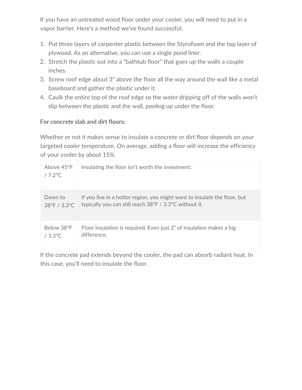If you have an untreated wood floor under your cooler, you will need to put in a vapor barrier. Here's a method we've found successful:

- 1. Put three layers of carpenter plastic between the Styrofoam and the top layer of plywood. As an alternative, you can use a single pond liner.
- 2. Stretch the plastic out into a "bathtub floor" that goes up the walls a couple inches.
- 3. Screw roof edge about 3" above the floor all the way around the wall like a metal baseboard and gather the plastic under it.
- 4. Caulk the entire top of the roof edge so the water dripping off of the walls won't slip between the plastic and the wall, pooling up under the floor.

#### **For concrete slab and dirt floors:**

Whether or not it makes sense to insulate a concrete or dirt floor depends on your targeted cooler temperature. On average, adding a floor will increase the efficiency of your cooler by about 15%.

| Above $45^{\circ}$ F<br>$/7.2$ °C | Insulating the floor isn't worth the investment.                          |
|-----------------------------------|---------------------------------------------------------------------------|
| Down to                           | If you live in a hotter region, you might want to insulate the floor, but |
| 38°F / 3.3°C                      | typically you can still reach 38°F / 3.3°C without it.                    |
| Below 38°F                        | Floor insulation is required. Even just 2" of insulation makes a big      |
| $/3.3^{\circ}$ C                  | difference.                                                               |

If the concrete pad extends beyond the cooler, the pad can absorb radiant heat. In this case, you'll need to insulate the floor.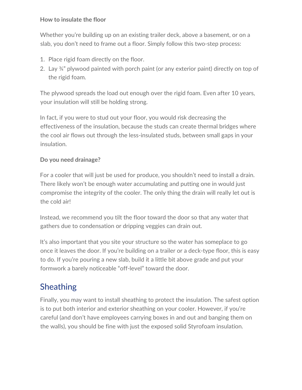#### **How to insulate the floor**

Whether you're building up on an existing trailer deck, above a basement, or on a slab, you don't need to frame out a floor. Simply follow this two-step process:

- 1. Place rigid foam directly on the floor.
- 2. Lay ¾" plywood painted with porch paint (or any exterior paint) directly on top of the rigid foam.

The plywood spreads the load out enough over the rigid foam. Even after 10 years, your insulation will still be holding strong.

In fact, if you were to stud out your floor, you would risk decreasing the effectiveness of the insulation, because the studs can create thermal bridges where the cool air flows out through the less-insulated studs, between small gaps in your insulation.

### **Do you need drainage?**

For a cooler that will just be used for produce, you shouldn't need to install a drain. There likely won't be enough water accumulating and putting one in would just compromise the integrity of the cooler. The only thing the drain will really let out is the cold air!

Instead, we recommend you tilt the floor toward the door so that any water that gathers due to condensation or dripping veggies can drain out.

It's also important that you site your structure so the water has someplace to go once it leaves the door. If you're building on a trailer or a deck-type floor, this is easy to do. If you're pouring a new slab, build it a little bit above grade and put your formwork a barely noticeable "off-level" toward the door.

## Sheathing

Finally, you may want to install sheathing to protect the insulation. The safest option is to put both interior and exterior sheathing on your cooler. However, if you're careful (and don't have employees carrying boxes in and out and banging them on the walls), you should be fine with just the exposed solid Styrofoam insulation.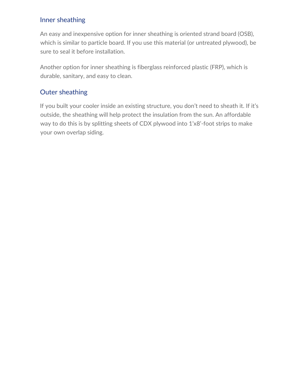### Inner sheathing

An easy and inexpensive option for inner sheathing is oriented strand board (OSB), which is similar to particle board. If you use this material (or untreated plywood), be sure to seal it before installation.

Another option for inner sheathing is fiberglass reinforced plastic (FRP), which is durable, sanitary, and easy to clean.

### Outer sheathing

If you built your cooler inside an existing structure, you don't need to sheath it. If it's outside, the sheathing will help protect the insulation from the sun. An affordable way to do this is by splitting sheets of CDX plywood into 1'x8'-foot strips to make your own overlap siding.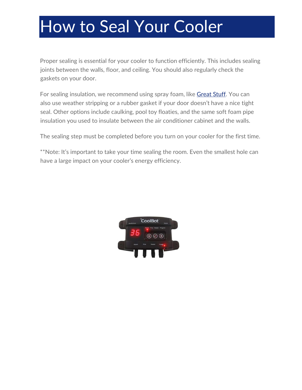# How to Seal Your Cooler

Proper sealing is essential for your cooler to function efficiently. This includes sealing joints between the walls, floor, and ceiling. You should also regularly check the gaskets on your door.

For sealing insulation, we recommend using spray foam, like [Great Stuff.](https://www.amazon.com/gp/product/B0002YX98O/ref=as_li_tl?ie=UTF8&camp=1789&creative=9325&creativeASIN=B0002YX98O&linkCode=undefined&tag=storeitcold-20&linkId=a609ebcc98793dfbe9496d8ff9ceec2f) You can also use weather stripping or a rubber gasket if your door doesn't have a nice tight seal. Other options include caulking, pool toy floaties, and the same soft foam pipe insulation you used to insulate between the air conditioner cabinet and the walls.

The sealing step must be completed before you turn on your cooler for the first time.

\*\*Note: It's important to take your time sealing the room. Even the smallest hole can have a large impact on your cooler's energy efficiency.

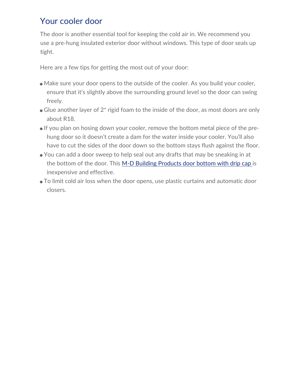## Your cooler door

The door is another essential tool for keeping the cold air in. We recommend you use a pre-hung insulated exterior door without windows. This type of door seals up tight.

Here are a few tips for getting the most out of your door:

- Make sure your door opens to the outside of the cooler. As you build your cooler, ensure that it's slightly above the surrounding ground level so the door can swing freely.
- Glue another layer of 2″ rigid foam to the inside of the door, as most doors are only about R18.
- If you plan on hosing down your cooler, remove the bottom metal piece of the prehung door so it doesn't create a dam for the water inside your cooler. You'll also have to cut the sides of the door down so the bottom stays flush against the floor.
- You can add a door sweep to help seal out any drafts that may be sneaking in at the bottom of the door. This [M-D Building Products door bottom with drip cap i](https://www.amazon.com/gp/product/B0015S6CMG/ref=as_li_tl?ie=UTF8&camp=1789&creative=9325&creativeASIN=B0015S6CMG&linkCode=as2&tag=storeitcold-20&linkId=92c6a4e82014cc15d48db567cd8731b8)s inexpensive and effective.
- To limit cold air loss when the door opens, use plastic curtains and automatic door closers.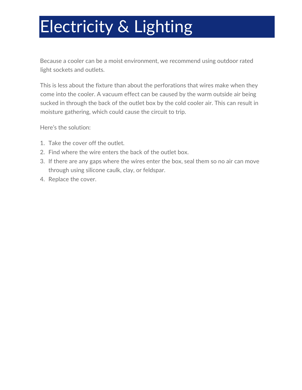# Electricity & Lighting

Because a cooler can be a moist environment, we recommend using outdoor rated light sockets and outlets.

This is less about the fixture than about the perforations that wires make when they come into the cooler. A vacuum effect can be caused by the warm outside air being sucked in through the back of the outlet box by the cold cooler air. This can result in moisture gathering, which could cause the circuit to trip.

Here's the solution:

- 1. Take the cover off the outlet.
- 2. Find where the wire enters the back of the outlet box.
- 3. If there are any gaps where the wires enter the box, seal them so no air can move through using silicone caulk, clay, or feldspar.
- 4. Replace the cover.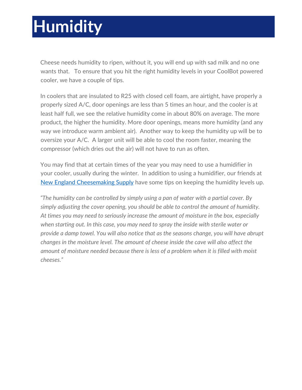# **Humidity**

Cheese needs humidity to ripen, without it, you will end up with sad milk and no one wants that. To ensure that you hit the right humidity levels in your CoolBot powered cooler, we have a couple of tips.

In coolers that are insulated to R25 with closed cell foam, are airtight, have properly a properly sized A/C, door openings are less than 5 times an hour, and the cooler is at least half full, we see the relative humidity come in about 80% on average. The more product, the higher the humidity. More door openings, means more humidity (and any way we introduce warm ambient air). Another way to keep the humidity up will be to oversize your A/C. A larger unit will be able to cool the room faster, meaning the compressor (which dries out the air) will not have to run as often.

You may find that at certain times of the year you may need to use a humidifier in your cooler, usually during the winter. In addition to using a humidifier, our friends at [New England Cheesemaking Supply](http://www.cheesemaking.com/learn/faq/aging-cheese.html) have some tips on keeping the humidity levels up.

*"The humidity can be controlled by simply using a pan of water with a partial cover. By simply adjusting the cover opening, you should be able to control the amount of humidity. At times you may need to seriously increase the amount of moisture in the box, especially when starting out. In this case, you may need to spray the inside with sterile water or provide a damp towel. You will also notice that as the seasons change, you will have abrupt changes in the moisture level. The amount of cheese inside the cave will also affect the amount of moisture needed because there is less of a problem when it is filled with moist cheeses."*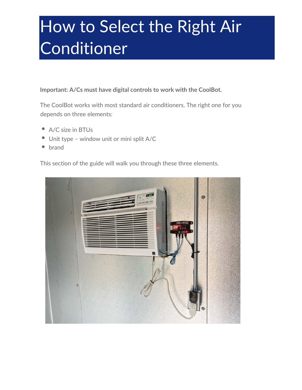# How to Select the Right Air Conditioner

**Important: A/Cs must have digital controls to work with the CoolBot.**

The CoolBot works with most standard air conditioners. The right one for you depends on three elements:

- A/C size in BTUs
- Unit type window unit or mini split A/C  $\bullet$
- $\bullet$ brand

This section of the guide will walk you through these three elements.

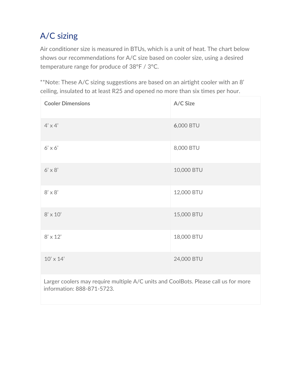# A/C sizing

Air conditioner size is measured in BTUs, which is a unit of heat. The chart below shows our recommendations for A/C size based on cooler size, using a desired temperature range for produce of 38°F / 3°C.

\*\*Note: These A/C sizing suggestions are based on an airtight cooler with an 8' ceiling, insulated to at least R25 and opened no more than six times per hour.

| <b>Cooler Dimensions</b> | A/C Size   |
|--------------------------|------------|
| $4' \times 4'$           | 6,000 BTU  |
| $6' \times 6'$           | 8,000 BTU  |
| $6' \times 8'$           | 10,000 BTU |
| $8' \times 8'$           | 12,000 BTU |
| $8' \times 10'$          | 15,000 BTU |
| $8' \times 12'$          | 18,000 BTU |
| $10' \times 14'$         | 24,000 BTU |

Larger coolers may require multiple A/C units and CoolBots. Please call us for more information: 888-871-5723.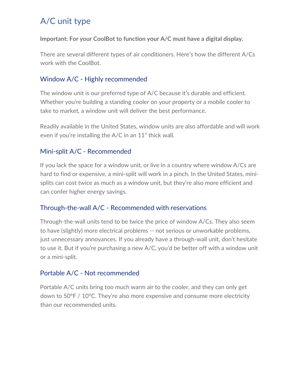# A/C unit type

**Important: For your CoolBot to function your A/C must have a digital display.**

There are several different types of air conditioners. Here's how the different A/Cs work with the CoolBot.

## Window A/C - Highly recommended

The window unit is our preferred type of A/C because it's durable and efficient. Whether you're building a standing cooler on your property or a mobile cooler to take to market, a window unit will deliver the best performance.

Readily available in the United States, window units are also affordable and will work even if you're installing the A/C in an 11" thick wall.

## Mini-split A/C - Recommended

If you lack the space for a window unit, or live in a country where window A/Cs are hard to find or expensive, a mini-split will work in a pinch. In the United States, minisplits can cost twice as much as a window unit, but they're also more efficient and can confer higher energy savings.

## Through-the-wall A/C - Recommended with reservations

Through-the-wall units tend to be twice the price of window A/Cs. They also seem to have (slightly) more electrical problems -- not serious or unworkable problems, just unnecessary annoyances. If you already have a through-wall unit, don't hesitate to use it. But if you're purchasing a new A/C, you'd be better off with a window unit or a mini-split.

## Portable A/C - Not recommended

Portable A/C units bring too much warm air to the cooler, and they can only get down to 50°F / 10°C. They're also more expensive and consume more electricity than our recommended units.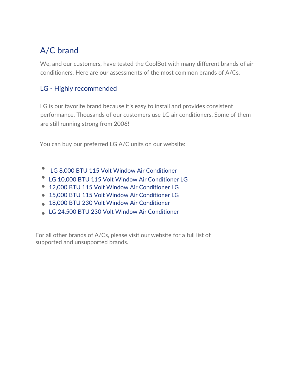# A/C brand

We, and our customers, have tested the CoolBot with many different brands of air conditioners. Here are our assessments of the most common brands of A/Cs.

## LG - Highly recommended

LG is our favorite brand because it's easy to install and provides consistent performance. Thousands of our customers use LG air conditioners. Some of them are still running strong from 2006!

You can buy our preferred LG A/C units on our website:

- [LG 8,000 BTU 115 Volt Window Air Conditioner](https://www.storeitcold.com/product/lg-8000-btu-115-volt-window-air-conditioner-copy/)
- [LG 10,000 BTU 115 Volt Window Air Conditioner](https://www.storeitcold.com/product/lg-10000-btu-115-volt-window-air-conditioner/) [LG](https://www.storeitcold.com/product/lg-12000-btu-115-volt-window-air-conditioner-copy/)
- [12,000 BTU 115 Volt Window Air Conditioner](https://www.storeitcold.com/product/lg-12000-btu-115-volt-window-air-conditioner-copy/) [LG](https://www.storeitcold.com/product/lg-15000-btu-115-volt-window-air-conditioner/)
- [15,000 BTU 115 Volt Window Air Conditioner](https://www.storeitcold.com/product/lg-15000-btu-115-volt-window-air-conditioner/) LG
- [18,000 BTU 230 Volt Window Air Conditioner](https://www.storeitcold.com/product/lg-18000-btu-115-volt-window-air-conditioner/)
- [LG 24,500 BTU 230 Volt Window Air Conditioner](https://www.storeitcold.com/product/lg-24000-btu-230-volt-window-air-conditioner/)

For all other brands of A/Cs, please [visit our website fo](https://www.storeitcold.com/build-it/ac-selection/)r a full list of supported and unsupported brands.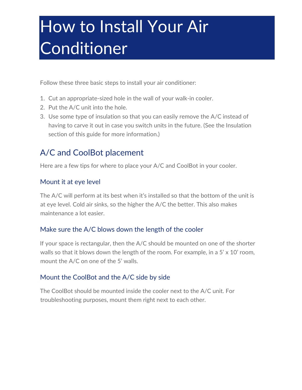# How to Install Your Air Conditioner

Follow these three basic steps to install your air conditioner:

- 1. Cut an appropriate-sized hole in the wall of your walk-in cooler.
- 2. Put the A/C unit into the hole.
- 3. Use some type of insulation so that you can easily remove the A/C instead of having to carve it out in case you switch units in the future. (See the Insulation section of this guide for more information.)

## A/C and CoolBot placement

Here are a few tips for where to place your A/C and CoolBot in your cooler.

### Mount it at eye level

The A/C will perform at its best when it's installed so that the bottom of the unit is at eye level. Cold air sinks, so the higher the A/C the better. This also makes maintenance a lot easier.

### Make sure the A/C blows down the length of the cooler

If your space is rectangular, then the A/C should be mounted on one of the shorter walls so that it blows down the length of the room. For example, in a  $5' \times 10'$  room, mount the A/C on one of the 5' walls.

### Mount the CoolBot and the A/C side by side

The CoolBot should be mounted inside the cooler next to the A/C unit. For troubleshooting purposes, mount them right next to each other.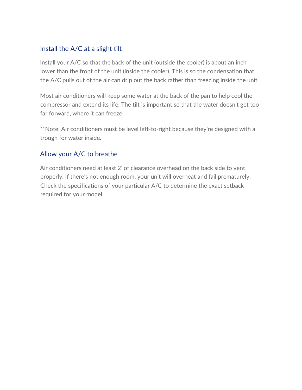### Install the A/C at a slight tilt

Install your A/C so that the back of the unit (outside the cooler) is about an inch lower than the front of the unit (inside the cooler). This is so the condensation that the A/C pulls out of the air can drip out the back rather than freezing inside the unit.

Most air conditioners will keep some water at the back of the pan to help cool the compressor and extend its life. The tilt is important so that the water doesn't get too far forward, where it can freeze.

\*\*Note: Air conditioners must be level left-to-right because they're designed with a trough for water inside.

### Allow your A/C to breathe

Air conditioners need at least 2' of clearance overhead on the back side to vent properly. If there's not enough room, your unit will overheat and fail prematurely. Check the specifications of your particular A/C to determine the exact setback required for your model.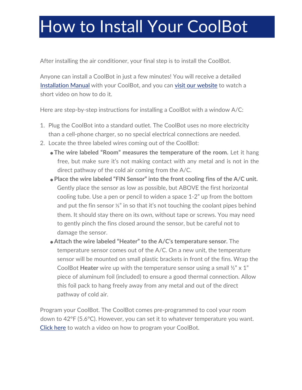# How to Install Your CoolBot

After installing the air conditioner, your final step is to install the CoolBot.

Anyone can install a CoolBot in just a few minutes! You will receive a detailed [Installation Manual](https://4557657873f8e83b61b44d37-b4glreykpbcsnk.netdna-ssl.com/wp-content/uploads/2016/06/CoolBot-Installation-Instructions.pdf) with your CoolBot, and you can [visit our website](https://www.storeitcold.com/install-your-coolbot/) to watch a short video on how to do it.

Here are step-by-step instructions for installing a CoolBot with a window A/C:

- 1. Plug the CoolBot into a standard outlet. The CoolBot uses no more electricity than a cell-phone charger, so no special electrical connections are needed.
- 2. Locate the three labeled wires coming out of the CoolBot:
	- **The wire labeled "Room" measures the temperature of the room.** Let it hang free, but make sure it's not making contact with any metal and is not in the direct pathway of the cold air coming from the A/C.
	- **Place the wire labeled "FIN Sensor" into the front cooling fins of the A/C unit.** Gently place the sensor as low as possible, but ABOVE the first horizontal cooling tube. Use a pen or pencil to widen a space 1-2" up from the bottom and put the fin sensor ⅓" in so that it's not touching the coolant pipes behind them. It should stay there on its own, without tape or screws. You may need to gently pinch the fins closed around the sensor, but be careful not to damage the sensor.
	- **Attach the wire labeled "Heater" to the A/C's temperature sensor.** The temperature sensor comes out of the A/C. On a new unit, the temperature sensor will be mounted on small plastic brackets in front of the fins. Wrap the CoolBot **Heater** wire up with the temperature sensor using a small ½" x 1" piece of aluminum foil (included) to ensure a good thermal connection. Allow this foil pack to hang freely away from any metal and out of the direct pathway of cold air.

Program your CoolBot. The CoolBot comes pre-programmed to cool your room down to 42°F (5.6°C). However, you can set it to whatever temperature you want. [Click here](https://www.youtube.com/watch?v=tTR6yfep8dM&feature=youtu.be&t=8m1s) to watch a video on how to program your CoolBot.